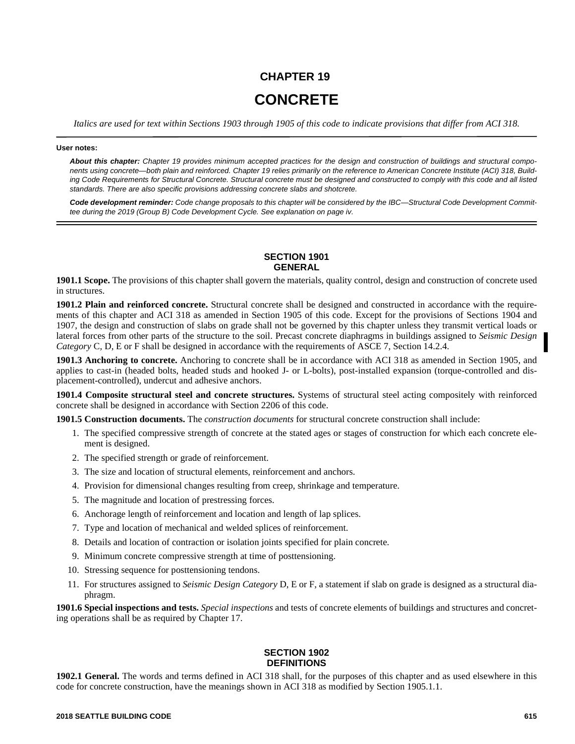# **CHAPTER 19 CONCRETE**

*Italics are used for text within Sections 1903 through 1905 of this code to indicate provisions that differ from ACI 318.*

#### **User notes:**

*About this chapter: Chapter 19 provides minimum accepted practices for the design and construction of buildings and structural components using concrete—both plain and reinforced. Chapter 19 relies primarily on the reference to American Concrete Institute (ACI) 318, Building Code Requirements for Structural Concrete. Structural concrete must be designed and constructed to comply with this code and all listed standards. There are also specific provisions addressing concrete slabs and shotcrete.*

*Code development reminder: Code change proposals to this chapter will be considered by the IBC—Structural Code Development Committee during the 2019 (Group B) Code Development Cycle. See explanation on page iv.*

## **SECTION 1901 GENERAL**

**1901.1 Scope.** The provisions of this chapter shall govern the materials, quality control, design and construction of concrete used in structures.

**1901.2 Plain and reinforced concrete.** Structural concrete shall be designed and constructed in accordance with the requirements of this chapter and ACI 318 as amended in Section 1905 of this code. Except for the provisions of Sections 1904 and 1907, the design and construction of slabs on grade shall not be governed by this chapter unless they transmit vertical loads or lateral forces from other parts of the structure to the soil. Precast concrete diaphragms in buildings assigned to *Seismic Design Category* C, D, E or F shall be designed in accordance with the requirements of ASCE 7, Section 14.2.4.

**1901.3 Anchoring to concrete.** Anchoring to concrete shall be in accordance with ACI 318 as amended in Section 1905, and applies to cast-in (headed bolts, headed studs and hooked J- or L-bolts), post-installed expansion (torque-controlled and displacement-controlled), undercut and adhesive anchors.

**1901.4 Composite structural steel and concrete structures.** Systems of structural steel acting compositely with reinforced concrete shall be designed in accordance with Section 2206 of this code.

**1901.5 Construction documents.** The *construction documents* for structural concrete construction shall include:

- 1. The specified compressive strength of concrete at the stated ages or stages of construction for which each concrete element is designed.
- 2. The specified strength or grade of reinforcement.
- 3. The size and location of structural elements, reinforcement and anchors.
- 4. Provision for dimensional changes resulting from creep, shrinkage and temperature.
- 5. The magnitude and location of prestressing forces.
- 6. Anchorage length of reinforcement and location and length of lap splices.
- 7. Type and location of mechanical and welded splices of reinforcement.
- 8. Details and location of contraction or isolation joints specified for plain concrete.
- 9. Minimum concrete compressive strength at time of posttensioning.
- 10. Stressing sequence for posttensioning tendons.
- 11. For structures assigned to *Seismic Design Category* D, E or F, a statement if slab on grade is designed as a structural diaphragm.

**1901.6 Special inspections and tests.** *Special inspections* and tests of concrete elements of buildings and structures and concreting operations shall be as required by Chapter 17.

## **SECTION 1902 DEFINITIONS**

**1902.1 General.** The words and terms defined in ACI 318 shall, for the purposes of this chapter and as used elsewhere in this code for concrete construction, have the meanings shown in ACI 318 as modified by Section 1905.1.1.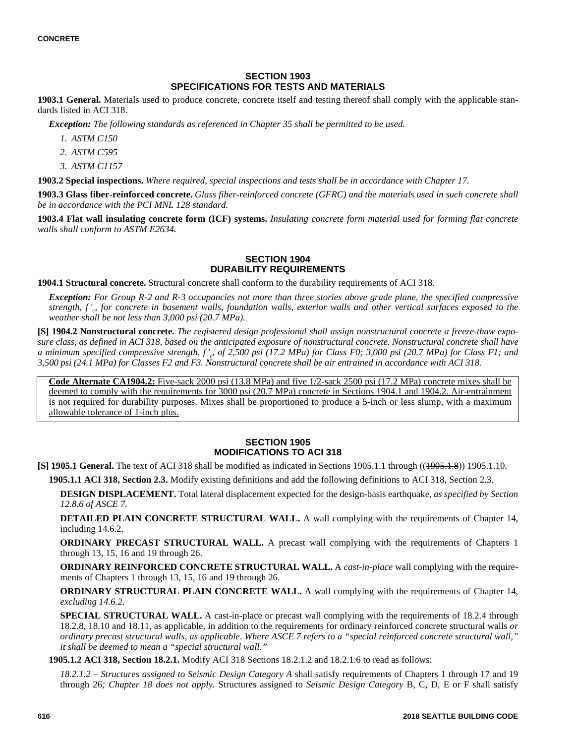## **SECTION 1903 SPECIFICATIONS FOR TESTS AND MATERIALS**

**1903.1 General.** Materials used to produce concrete, concrete itself and testing thereof shall comply with the applicable standards listed in ACI 318.

*Exception: The following standards as referenced in Chapter 35 shall be permitted to be used.*

- *1. ASTM C150*
- *2. ASTM C595*
- *3. ASTM C1157*

**1903.2 Special inspections.** *Where required, special inspections and tests shall be in accordance with Chapter 17.*

**1903.3 Glass fiber-reinforced concrete.** *Glass fiber-reinforced concrete (GFRC) and the materials used in such concrete shall be in accordance with the PCI MNL 128 standard.*

**1903.4 Flat wall insulating concrete form (ICF) systems.** *Insulating concrete form material used for forming flat concrete walls shall conform to ASTM E2634.*

## **SECTION 1904 DURABILITY REQUIREMENTS**

**1904.1 Structural concrete.** Structural concrete shall conform to the durability requirements of ACI 318.

*Exception: For Group R-2 and R-3 occupancies not more than three stories above grade plane, the specified compressive strength, f '<sup>c</sup> , for concrete in basement walls, foundation walls, exterior walls and other vertical surfaces exposed to the weather shall be not less than 3,000 psi (20.7 MPa).*

**[S] 1904.2 Nonstructural concrete.** *The registered design professional shall assign nonstructural concrete a freeze-thaw exposure class, as defined in ACI 318, based on the anticipated exposure of nonstructural concrete. Nonstructural concrete shall have* a minimum specified compressive strength, f'<sub>c</sub>, of 2,500 psi (17.2 MPa) for Class F0; 3,000 psi (20.7 MPa) for Class F1; and *3,500 psi (24.1 MPa) for Classes F2 and F3. Nonstructural concrete shall be air entrained in accordance with ACI 318.*

**Code Alternate CA1904.2:** Five-sack 2000 psi (13.8 MPa) and five 1/2-sack 2500 psi (17.2 MPa) concrete mixes shall be deemed to comply with the requirements for 3000 psi (20.7 MPa) concrete in Sections 1904.1 and 1904.2. Air-entrainment is not required for durability purposes. Mixes shall be proportioned to produce a 5-inch or less slump, with a maximum allowable tolerance of 1-inch plus.

## **SECTION 1905 MODIFICATIONS TO ACI 318**

**[S] 1905.1 General.** The text of ACI 318 shall be modified as indicated in Sections 1905.1.1 through ((1905.1.8)) 1905.1.10.

**1905.1.1 ACI 318, Section 2.3.** Modify existing definitions and add the following definitions to ACI 318, Section 2.3.

**DESIGN DISPLACEMENT.** Total lateral displacement expected for the design-basis earthquake, *as specified by Section 12.8.6 of ASCE 7.*

**DETAILED PLAIN CONCRETE STRUCTURAL WALL.** A wall complying with the requirements of Chapter 14, including 14.6.2.

**ORDINARY PRECAST STRUCTURAL WALL.** A precast wall complying with the requirements of Chapters 1 through 13, 15, 16 and 19 through 26.

**ORDINARY REINFORCED CONCRETE STRUCTURAL WALL.** A *cast-in-place* wall complying with the requirements of Chapters 1 through 13, 15, 16 and 19 through 26.

**ORDINARY STRUCTURAL PLAIN CONCRETE WALL.** A wall complying with the requirements of Chapter 14, *excluding 14.6.2*.

**SPECIAL STRUCTURAL WALL.** A cast-in-place or precast wall complying with the requirements of 18.2.4 through 18.2.8, 18.10 and 18.11, as applicable, in addition to the requirements for ordinary reinforced concrete structural walls *or ordinary precast structural walls, as applicable*. *Where ASCE 7 refers to a "special reinforced concrete structural wall," it shall be deemed to mean a "special structural wall."*

**1905.1.2 ACI 318, Section 18.2.1.** Modify ACI 318 Sections 18.2.1.2 and 18.2.1.6 to read as follows:

*18.2.1.2* – *Structures assigned to Seismic Design Category A* shall satisfy requirements of Chapters 1 through 17 and 19 through 26*; Chapter 18 does not apply*. Structures assigned to *Seismic Design Category* B, C, D, E or F shall satisfy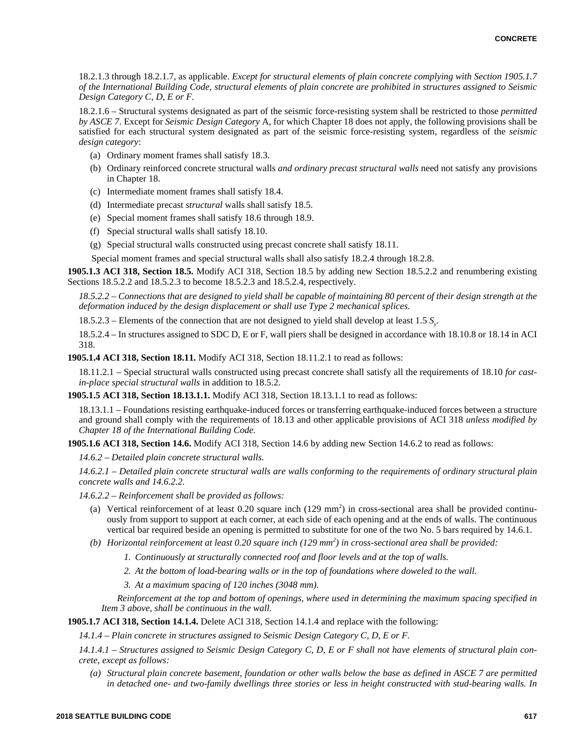18.2.1.3 through 18.2.1.7, as applicable. *Except for structural elements of plain concrete complying with Section 1905.1.7 of the International Building Code, structural elements of plain concrete are prohibited in structures assigned to Seismic Design Category C, D, E or F.*

18.2.1.6 – Structural systems designated as part of the seismic force-resisting system shall be restricted to those *permitted by ASCE 7*. Except for *Seismic Design Category* A, for which Chapter 18 does not apply, the following provisions shall be satisfied for each structural system designated as part of the seismic force-resisting system, regardless of the *seismic design category*:

- (a) Ordinary moment frames shall satisfy 18.3.
- (b) Ordinary reinforced concrete structural walls *and ordinary precast structural walls* need not satisfy any provisions in Chapter 18.
- (c) Intermediate moment frames shall satisfy 18.4.
- (d) Intermediate precast *structural* walls shall satisfy 18.5.
- (e) Special moment frames shall satisfy 18.6 through 18.9.
- (f) Special structural walls shall satisfy 18.10.
- (g) Special structural walls constructed using precast concrete shall satisfy 18.11.

Special moment frames and special structural walls shall also satisfy 18.2.4 through 18.2.8.

**1905.1.3 ACI 318, Section 18.5.** Modify ACI 318, Section 18.5 by adding new Section 18.5.2.2 and renumbering existing Sections 18.5.2.2 and 18.5.2.3 to become 18.5.2.3 and 18.5.2.4, respectively.

*18.5.2.2* – *Connections that are designed to yield shall be capable of maintaining 80 percent of their design strength at the deformation induced by the design displacement or shall use Type 2 mechanical splices.*

18.5.2.3 – Elements of the connection that are not designed to yield shall develop at least 1.5 *S<sup>y</sup>* .

18.5.2.4 – In structures assigned to SDC D, E or F, wall piers shall be designed in accordance with 18.10.8 or 18.14 in ACI 318.

**1905.1.4 ACI 318, Section 18.11.** Modify ACI 318, Section 18.11.2.1 to read as follows:

18.11.2.1 – Special structural walls constructed using precast concrete shall satisfy all the requirements of 18.10 *for castin-place special structural walls* in addition to 18.5.2.

**1905.1.5 ACI 318, Section 18.13.1.1.** Modify ACI 318, Section 18.13.1.1 to read as follows:

18.13.1.1 – Foundations resisting earthquake-induced forces or transferring earthquake-induced forces between a structure and ground shall comply with the requirements of 18.13 and other applicable provisions of ACI 318 *unless modified by Chapter 18 of the International Building Code.*

**1905.1.6 ACI 318, Section 14.6.** Modify ACI 318, Section 14.6 by adding new Section 14.6.2 to read as follows:

*14.6.2* – *Detailed plain concrete structural walls.*

*14.6.2.1* – *Detailed plain concrete structural walls are walls conforming to the requirements of ordinary structural plain concrete walls and 14.6.2.2.*

*14.6.2.2* – *Reinforcement shall be provided as follows:*

- (a) Vertical reinforcement of at least  $0.20$  square inch  $(129 \text{ mm}^2)$  in cross-sectional area shall be provided continuously from support to support at each corner, at each side of each opening and at the ends of walls. The continuous vertical bar required beside an opening is permitted to substitute for one of the two No. 5 bars required by 14.6.1.
- *(b) Horizontal reinforcement at least 0.20 square inch (129 mm<sup>2</sup> ) in cross-sectional area shall be provided:*
	- *1. Continuously at structurally connected roof and floor levels and at the top of walls.*
	- *2. At the bottom of load-bearing walls or in the top of foundations where doweled to the wall.*

*3. At a maximum spacing of 120 inches (3048 mm).*

*Reinforcement at the top and bottom of openings, where used in determining the maximum spacing specified in Item 3 above, shall be continuous in the wall.*

**1905.1.7 ACI 318, Section 14.1.4.** Delete ACI 318, Section 14.1.4 and replace with the following:

*14.1.4 – Plain concrete in structures assigned to Seismic Design Category C, D, E or F.*

*14.1.4.1 – Structures assigned to Seismic Design Category C, D, E or F shall not have elements of structural plain concrete, except as follows:*

*(a) Structural plain concrete basement, foundation or other walls below the base as defined in ASCE 7 are permitted in detached one- and two-family dwellings three stories or less in height constructed with stud-bearing walls. In*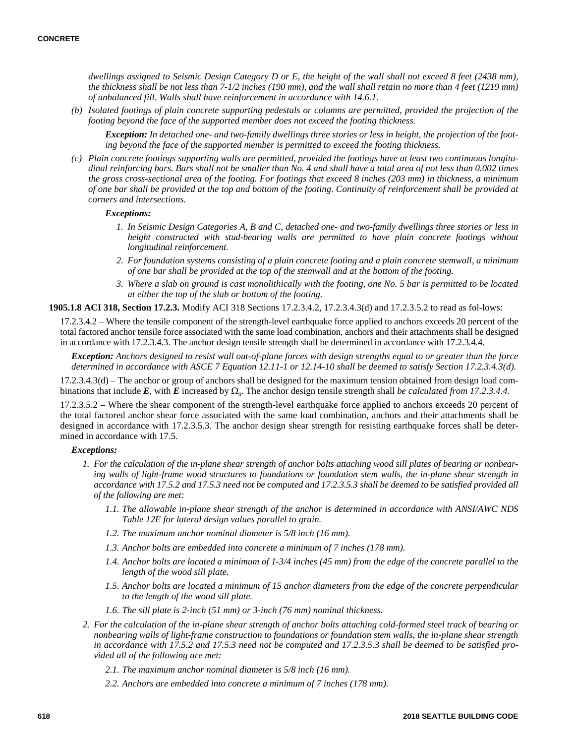*dwellings assigned to Seismic Design Category D or E, the height of the wall shall not exceed 8 feet (2438 mm), the thickness shall be not less than 7-1/2 inches (190 mm), and the wall shall retain no more than 4 feet (1219 mm) of unbalanced fill. Walls shall have reinforcement in accordance with 14.6.1.*

*(b) Isolated footings of plain concrete supporting pedestals or columns are permitted, provided the projection of the footing beyond the face of the supported member does not exceed the footing thickness.*

*Exception: In detached one- and two-family dwellings three stories or less in height, the projection of the footing beyond the face of the supported member is permitted to exceed the footing thickness.*

*(c) Plain concrete footings supporting walls are permitted, provided the footings have at least two continuous longitudinal reinforcing bars. Bars shall not be smaller than No. 4 and shall have a total area of not less than 0.002 times the gross cross-sectional area of the footing. For footings that exceed 8 inches (203 mm) in thickness, a minimum of one bar shall be provided at the top and bottom of the footing. Continuity of reinforcement shall be provided at corners and intersections.*

*Exceptions:*

- *1. In Seismic Design Categories A, B and C, detached one- and two-family dwellings three stories or less in height constructed with stud-bearing walls are permitted to have plain concrete footings without longitudinal reinforcement.*
- *2. For foundation systems consisting of a plain concrete footing and a plain concrete stemwall, a minimum of one bar shall be provided at the top of the stemwall and at the bottom of the footing.*
- *3. Where a slab on ground is cast monolithically with the footing, one No. 5 bar is permitted to be located at either the top of the slab or bottom of the footing.*

**1905.1.8 ACI 318, Section 17.2.3.** Modify ACI 318 Sections 17.2.3.4.2, 17.2.3.4.3(d) and 17.2.3.5.2 to read as fol-lows:

17.2.3.4.2 – Where the tensile component of the strength-level earthquake force applied to anchors exceeds 20 percent of the total factored anchor tensile force associated with the same load combination, anchors and their attachments shall be designed in accordance with 17.2.3.4.3. The anchor design tensile strength shall be determined in accordance with 17.2.3.4.4.

*Exception: Anchors designed to resist wall out-of-plane forces with design strengths equal to or greater than the force determined in accordance with ASCE 7 Equation 12.11-1 or 12.14-10 shall be deemed to satisfy Section 17.2.3.4.3(d).*

17.2.3.4.3(d) – The anchor or group of anchors shall be designed for the maximum tension obtained from design load combinations that include  $E$ , with  $E$  increased by  $\Omega_0$ . The anchor design tensile strength shall *be calculated from 17.2.3.4.4*.

17.2.3.5.2 – Where the shear component of the strength-level earthquake force applied to anchors exceeds 20 percent of the total factored anchor shear force associated with the same load combination, anchors and their attachments shall be designed in accordance with 17.2.3.5.3. The anchor design shear strength for resisting earthquake forces shall be determined in accordance with 17.5.

### *Exceptions:*

- *1. For the calculation of the in-plane shear strength of anchor bolts attaching wood sill plates of bearing or nonbearing walls of light-frame wood structures to foundations or foundation stem walls, the in-plane shear strength in accordance with 17.5.2 and 17.5.3 need not be computed and 17.2.3.5.3 shall be deemed to be satisfied provided all of the following are met:*
	- *1.1. The allowable in-plane shear strength of the anchor is determined in accordance with ANSI/AWC NDS Table 12E for lateral design values parallel to grain.*
	- *1.2. The maximum anchor nominal diameter is 5/8 inch (16 mm).*
	- *1.3. Anchor bolts are embedded into concrete a minimum of 7 inches (178 mm).*
	- *1.4. Anchor bolts are located a minimum of 1-3/4 inches (45 mm) from the edge of the concrete parallel to the length of the wood sill plate.*
	- *1.5. Anchor bolts are located a minimum of 15 anchor diameters from the edge of the concrete perpendicular to the length of the wood sill plate.*
	- *1.6. The sill plate is 2-inch (51 mm) or 3-inch (76 mm) nominal thickness.*
- *2. For the calculation of the in-plane shear strength of anchor bolts attaching cold-formed steel track of bearing or nonbearing walls of light-frame construction to foundations or foundation stem walls, the in-plane shear strength in accordance with 17.5.2 and 17.5.3 need not be computed and 17.2.3.5.3 shall be deemed to be satisfied provided all of the following are met:*
	- *2.1. The maximum anchor nominal diameter is 5/8 inch (16 mm).*
	- *2.2. Anchors are embedded into concrete a minimum of 7 inches (178 mm).*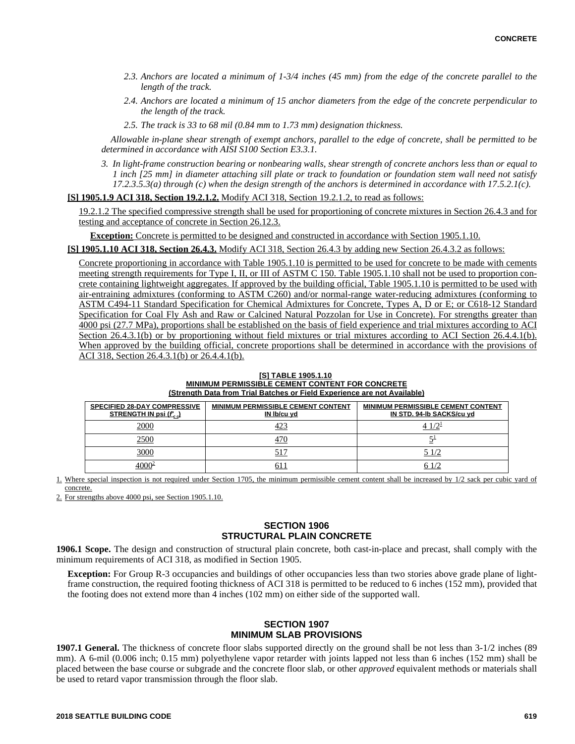- *2.3. Anchors are located a minimum of 1-3/4 inches (45 mm) from the edge of the concrete parallel to the length of the track.*
- *2.4. Anchors are located a minimum of 15 anchor diameters from the edge of the concrete perpendicular to the length of the track.*
- *2.5. The track is 33 to 68 mil (0.84 mm to 1.73 mm) designation thickness.*

*Allowable in-plane shear strength of exempt anchors, parallel to the edge of concrete, shall be permitted to be determined in accordance with AISI S100 Section E3.3.1.*

*3. In light-frame construction bearing or nonbearing walls, shear strength of concrete anchors less than or equal to 1 inch [25 mm] in diameter attaching sill plate or track to foundation or foundation stem wall need not satisfy 17.2.3.5.3(a) through (c) when the design strength of the anchors is determined in accordance with 17.5.2.1(c).*

## **[S] 1905.1.9 ACI 318, Section 19.2.1.2.** Modify ACI 318, Section 19.2.1.2, to read as follows:

19.2.1.2 The specified compressive strength shall be used for proportioning of concrete mixtures in Section 26.4.3 and for testing and acceptance of concrete in Section 26.12.3.

**Exception:** Concrete is permitted to be designed and constructed in accordance with Section 1905.1.10.

**[S] 1905.1.10 ACI 318, Section 26.4.3.** Modify ACI 318, Section 26.4.3 by adding new Section 26.4.3.2 as follows:

Concrete proportioning in accordance with Table 1905.1.10 is permitted to be used for concrete to be made with cements meeting strength requirements for Type I, II, or III of ASTM C 150. Table 1905.1.10 shall not be used to proportion concrete containing lightweight aggregates. If approved by the building official, Table 1905.1.10 is permitted to be used with air-entraining admixtures (conforming to ASTM C260) and/or normal-range water-reducing admixtures (conforming to ASTM C494-11 Standard Specification for Chemical Admixtures for Concrete, Types A, D or E; or C618-12 Standard Specification for Coal Fly Ash and Raw or Calcined Natural Pozzolan for Use in Concrete). For strengths greater than 4000 psi (27.7 MPa), proportions shall be established on the basis of field experience and trial mixtures according to ACI Section 26.4.3.1(b) or by proportioning without field mixtures or trial mixtures according to ACI Section 26.4.4.1(b). When approved by the building official, concrete proportions shall be determined in accordance with the provisions of ACI 318, Section 26.4.3.1(b) or 26.4.4.1(b).

#### **[S] TABLE 1905.1.10 MINIMUM PERMISSIBLE CEMENT CONTENT FOR CONCRETE (Strength Data from Trial Batches or Field Experience are not Available)**

| <b>SPECIFIED 28-DAY COMPRESSIVE</b><br>STRENGTH IN psi $(f'_c)$ | MINIMUM PERMISSIBLE CEMENT CONTENT<br>IN Ib/cu yd | MINIMUM PERMISSIBLE CEMENT CONTENT<br>IN STD. 94-Ib SACKS/cu yd |
|-----------------------------------------------------------------|---------------------------------------------------|-----------------------------------------------------------------|
| 2000                                                            | 423                                               | 4 1/21                                                          |
| 2500                                                            | 470                                               |                                                                 |
| 3000                                                            | 517                                               |                                                                 |
| 1000ª                                                           | 611                                               |                                                                 |

1. Where special inspection is not required under Section 1705, the minimum permissible cement content shall be increased by 1/2 sack per cubic yard of concrete.

2. For strengths above 4000 psi, see Section 1905.1.10.

## **SECTION 1906 STRUCTURAL PLAIN CONCRETE**

**1906.1 Scope.** The design and construction of structural plain concrete, both cast-in-place and precast, shall comply with the minimum requirements of ACI 318, as modified in Section 1905.

**Exception:** For Group R-3 occupancies and buildings of other occupancies less than two stories above grade plane of lightframe construction, the required footing thickness of ACI 318 is permitted to be reduced to 6 inches (152 mm), provided that the footing does not extend more than 4 inches (102 mm) on either side of the supported wall.

## **SECTION 1907 MINIMUM SLAB PROVISIONS**

**1907.1 General.** The thickness of concrete floor slabs supported directly on the ground shall be not less than  $3-1/2$  inches (89) mm). A 6-mil (0.006 inch; 0.15 mm) polyethylene vapor retarder with joints lapped not less than 6 inches (152 mm) shall be placed between the base course or subgrade and the concrete floor slab, or other *approved* equivalent methods or materials shall be used to retard vapor transmission through the floor slab.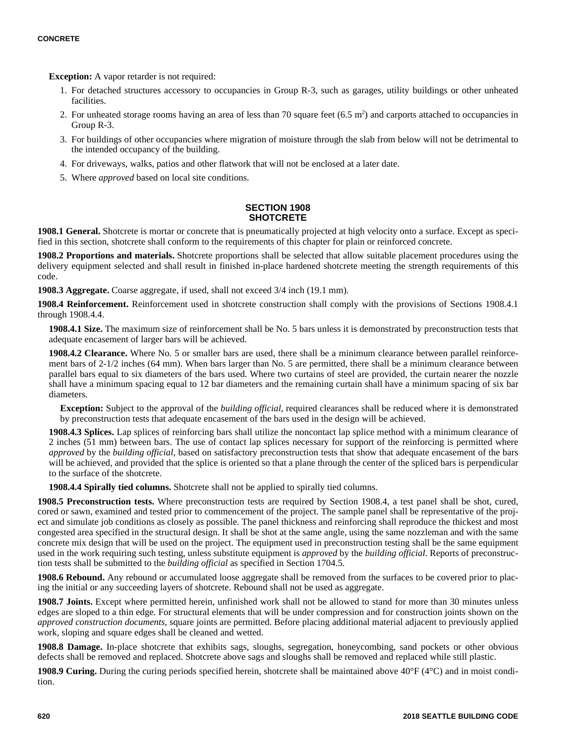**Exception:** A vapor retarder is not required:

- 1. For detached structures accessory to occupancies in Group R-3, such as garages, utility buildings or other unheated facilities.
- 2. For unheated storage rooms having an area of less than 70 square feet  $(6.5 \text{ m}^2)$  and carports attached to occupancies in Group R-3.
- 3. For buildings of other occupancies where migration of moisture through the slab from below will not be detrimental to the intended occupancy of the building.
- 4. For driveways, walks, patios and other flatwork that will not be enclosed at a later date.
- 5. Where *approved* based on local site conditions.

## **SECTION 1908 SHOTCRETE**

1908.1 General. Shotcrete is mortar or concrete that is pneumatically projected at high velocity onto a surface. Except as specified in this section, shotcrete shall conform to the requirements of this chapter for plain or reinforced concrete.

**1908.2 Proportions and materials.** Shotcrete proportions shall be selected that allow suitable placement procedures using the delivery equipment selected and shall result in finished in-place hardened shotcrete meeting the strength requirements of this code.

**1908.3 Aggregate.** Coarse aggregate, if used, shall not exceed 3/4 inch (19.1 mm).

**1908.4 Reinforcement.** Reinforcement used in shotcrete construction shall comply with the provisions of Sections 1908.4.1 through 1908.4.4.

**1908.4.1 Size.** The maximum size of reinforcement shall be No. 5 bars unless it is demonstrated by preconstruction tests that adequate encasement of larger bars will be achieved.

**1908.4.2 Clearance.** Where No. 5 or smaller bars are used, there shall be a minimum clearance between parallel reinforcement bars of 2-1/2 inches (64 mm). When bars larger than No. 5 are permitted, there shall be a minimum clearance between parallel bars equal to six diameters of the bars used. Where two curtains of steel are provided, the curtain nearer the nozzle shall have a minimum spacing equal to 12 bar diameters and the remaining curtain shall have a minimum spacing of six bar diameters.

**Exception:** Subject to the approval of the *building official*, required clearances shall be reduced where it is demonstrated by preconstruction tests that adequate encasement of the bars used in the design will be achieved.

**1908.4.3 Splices.** Lap splices of reinforcing bars shall utilize the noncontact lap splice method with a minimum clearance of 2 inches (51 mm) between bars. The use of contact lap splices necessary for support of the reinforcing is permitted where *approved* by the *building official*, based on satisfactory preconstruction tests that show that adequate encasement of the bars will be achieved, and provided that the splice is oriented so that a plane through the center of the spliced bars is perpendicular to the surface of the shotcrete.

**1908.4.4 Spirally tied columns.** Shotcrete shall not be applied to spirally tied columns.

**1908.5 Preconstruction tests.** Where preconstruction tests are required by Section 1908.4, a test panel shall be shot, cured, cored or sawn, examined and tested prior to commencement of the project. The sample panel shall be representative of the project and simulate job conditions as closely as possible. The panel thickness and reinforcing shall reproduce the thickest and most congested area specified in the structural design. It shall be shot at the same angle, using the same nozzleman and with the same concrete mix design that will be used on the project. The equipment used in preconstruction testing shall be the same equipment used in the work requiring such testing, unless substitute equipment is *approved* by the *building official*. Reports of preconstruction tests shall be submitted to the *building official* as specified in Section 1704.5.

**1908.6 Rebound.** Any rebound or accumulated loose aggregate shall be removed from the surfaces to be covered prior to placing the initial or any succeeding layers of shotcrete. Rebound shall not be used as aggregate.

**1908.7 Joints.** Except where permitted herein, unfinished work shall not be allowed to stand for more than 30 minutes unless edges are sloped to a thin edge. For structural elements that will be under compression and for construction joints shown on the *approved construction documents*, square joints are permitted. Before placing additional material adjacent to previously applied work, sloping and square edges shall be cleaned and wetted.

**1908.8 Damage.** In-place shotcrete that exhibits sags, sloughs, segregation, honeycombing, sand pockets or other obvious defects shall be removed and replaced. Shotcrete above sags and sloughs shall be removed and replaced while still plastic.

**1908.9 Curing.** During the curing periods specified herein, shotcrete shall be maintained above 40°F (4°C) and in moist condition.